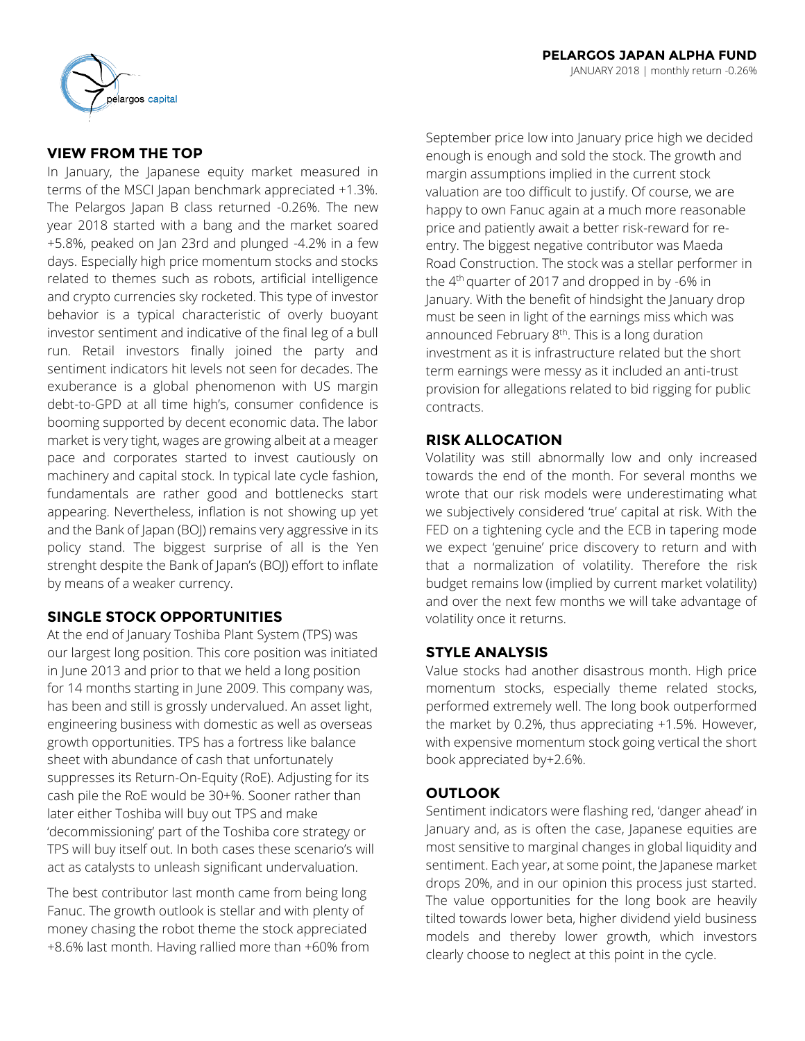

# **VIEW FROM THE TOP**

In January, the Japanese equity market measured in terms of the MSCI Japan benchmark appreciated +1.3%. The Pelargos Japan B class returned -0.26%. The new year 2018 started with a bang and the market soared +5.8%, peaked on Jan 23rd and plunged -4.2% in a few days. Especially high price momentum stocks and stocks related to themes such as robots, artificial intelligence and crypto currencies sky rocketed. This type of investor behavior is a typical characteristic of overly buoyant investor sentiment and indicative of the final leg of a bull run. Retail investors finally joined the party and sentiment indicators hit levels not seen for decades. The exuberance is a global phenomenon with US margin debt-to-GPD at all time high's, consumer confidence is booming supported by decent economic data. The labor market is very tight, wages are growing albeit at a meager pace and corporates started to invest cautiously on machinery and capital stock. In typical late cycle fashion, fundamentals are rather good and bottlenecks start appearing. Nevertheless, inflation is not showing up yet and the Bank of Japan (BOJ) remains very aggressive in its policy stand. The biggest surprise of all is the Yen strenght despite the Bank of Japan's (BOJ) effort to inflate by means of a weaker currency.

# **SINGLE STOCK OPPORTUNITIES**

At the end of January Toshiba Plant System (TPS) was our largest long position. This core position was initiated in June 2013 and prior to that we held a long position for 14 months starting in June 2009. This company was, has been and still is grossly undervalued. An asset light, engineering business with domestic as well as overseas growth opportunities. TPS has a fortress like balance sheet with abundance of cash that unfortunately suppresses its Return-On-Equity (RoE). Adjusting for its cash pile the RoE would be 30+%. Sooner rather than later either Toshiba will buy out TPS and make 'decommissioning' part of the Toshiba core strategy or TPS will buy itself out. In both cases these scenario's will act as catalysts to unleash significant undervaluation.

The best contributor last month came from being long Fanuc. The growth outlook is stellar and with plenty of money chasing the robot theme the stock appreciated +8.6% last month. Having rallied more than +60% from

September price low into January price high we decided enough is enough and sold the stock. The growth and margin assumptions implied in the current stock valuation are too difficult to justify. Of course, we are happy to own Fanuc again at a much more reasonable price and patiently await a better risk-reward for reentry. The biggest negative contributor was Maeda Road Construction. The stock was a stellar performer in the 4<sup>th</sup> quarter of 2017 and dropped in by -6% in January. With the benefit of hindsight the January drop must be seen in light of the earnings miss which was announced February  $8<sup>th</sup>$ . This is a long duration investment as it is infrastructure related but the short term earnings were messy as it included an anti-trust provision for allegations related to bid rigging for public contracts.

## **RISK ALLOCATION**

Volatility was still abnormally low and only increased towards the end of the month. For several months we wrote that our risk models were underestimating what we subjectively considered 'true' capital at risk. With the FED on a tightening cycle and the ECB in tapering mode we expect 'genuine' price discovery to return and with that a normalization of volatility. Therefore the risk budget remains low (implied by current market volatility) and over the next few months we will take advantage of volatility once it returns.

## **STYLE ANALYSIS**

Value stocks had another disastrous month. High price momentum stocks, especially theme related stocks, performed extremely well. The long book outperformed the market by 0.2%, thus appreciating +1.5%. However, with expensive momentum stock going vertical the short book appreciated by+2.6%.

## **OUTLOOK**

Sentiment indicators were flashing red, 'danger ahead' in January and, as is often the case, Japanese equities are most sensitive to marginal changes in global liquidity and sentiment. Each year, at some point, the Japanese market drops 20%, and in our opinion this process just started. The value opportunities for the long book are heavily tilted towards lower beta, higher dividend yield business models and thereby lower growth, which investors clearly choose to neglect at this point in the cycle.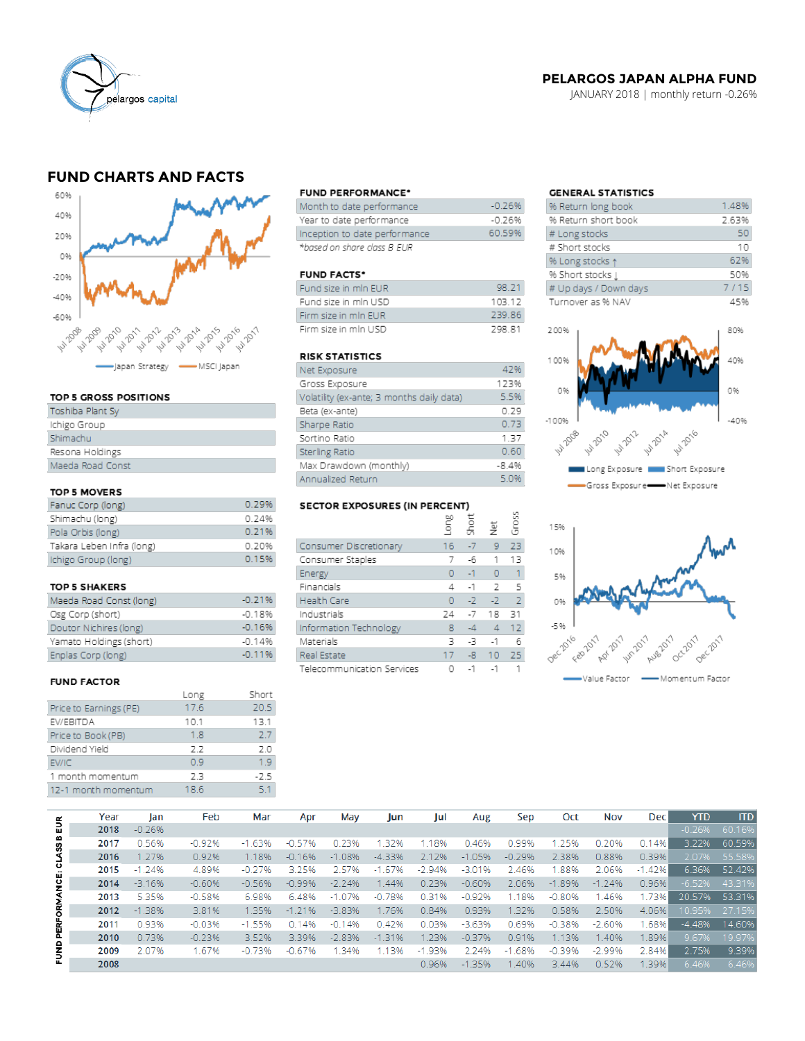

## **PELARGOS JAPAN ALPHA FUND**

JANUARY 2018 | monthly return -0.26%

# **FUND CHARTS AND FACTS**



### TOP 5 GROSS POSITIONS

| Toshiba Plant Sy |
|------------------|
| Ichigo Group     |
| Shimachu         |
| Resona Holdings  |
| Maeda Road Const |

### TOP 5 MOVERS

| Fanuc Corp (long)         | 0.29% |
|---------------------------|-------|
| Shimachu (long)           | 0.24% |
| Pola Orbis (long)         | 0.21% |
| Takara Leben Infra (long) | 0.20% |
| Ichigo Group (long)       | 0.15% |

#### **TOP 5 SHAKERS**

| Maeda Road Const (long) | $-0.21%$ |
|-------------------------|----------|
| Osg Corp (short)        | $-0.18%$ |
| Doutor Nichires (long)  | $-0.16%$ |
| Yamato Holdings (short) | $-0.14%$ |
| Enplas Corp (long)      | $-0.11%$ |

### **FUND FACTOR**

|                        | Long | Short  |
|------------------------|------|--------|
| Price to Earnings (PE) | 17.6 | 20.5   |
| EV/EBITDA              | 10.1 | 13.1   |
| Price to Book (PB)     | 1.8  | 2.7    |
| Dividend Yield         | 22   | 2.0    |
| EV/IC                  | 0.9  | 19     |
| 1 month momentum       | 2.3  | $-2.5$ |
| 12-1 month momentum    | 18.6 | 51     |
|                        |      |        |

#### **FUND PERFORMANCE\***

| Month to date performance     | $-0.26%$ |
|-------------------------------|----------|
| Year to date performance      | -0.26%   |
| Inception to date performance | 60.59%   |
| *based on share class B EUR   |          |

### **FUND FACTS\***

| Fund size in min EUR | 98.21         |
|----------------------|---------------|
| Fund size in min USD | 103 12        |
| Firm size in min EUR | 239.86        |
| Firm size in min USD | <b>298.81</b> |

#### **RISK STATISTICS**

| Net Exposure                              | 42%     |
|-------------------------------------------|---------|
| Gross Exposure                            | 123%    |
| Volatility (ex-ante; 3 months daily data) | 5.5%    |
| Beta (ex-ante)                            | 0.29    |
| Sharpe Ratio                              | 0.73    |
| Sortino Ratio                             | 1.37    |
| Sterling Ratio                            | 0.60    |
| Max Drawdown (monthly)                    | $-8.4%$ |
| Annualized Return                         | 5.0%    |

### **SECTOR EXPOSURES (IN PERCENT)**

| 9LCTOR EXPOSURES (IN FERCENT) |      |              |         |                |  |  |  |  |  |  |  |
|-------------------------------|------|--------------|---------|----------------|--|--|--|--|--|--|--|
|                               | guo] | <b>Short</b> | 흋       | Gross          |  |  |  |  |  |  |  |
| Consumer Discretionary        | 16   | $-7$         | 9       | 23             |  |  |  |  |  |  |  |
| Consumer Staples              | 7    | -6           | 1       | 13             |  |  |  |  |  |  |  |
| Energy                        | 0    | $-1$         | $\circ$ | 1              |  |  |  |  |  |  |  |
| Financials                    | 4    | $-1$         | 2       | 5              |  |  |  |  |  |  |  |
| <b>Health Care</b>            | O    | $-2$         | $-2$    | $\overline{z}$ |  |  |  |  |  |  |  |
| Industrials                   | 24   | $-7$         | 18      | 31             |  |  |  |  |  |  |  |
| Information Technology        | 8    | $-4$         | 4       | 12             |  |  |  |  |  |  |  |
| Materials                     | 3    | -3           | $-1$    | б              |  |  |  |  |  |  |  |
| Real Estate                   | 17   | $-8$         | 10      | 25             |  |  |  |  |  |  |  |
| Telecommunication Services    | 0    | $-1$         | $-1$    |                |  |  |  |  |  |  |  |

## **GENERAL STATISTICS**

| % Return long book    | 1.48% |
|-----------------------|-------|
| % Return short book   | 2.63% |
| # Long stocks         | 50    |
| # Short stocks        | 10    |
| % Long stocks 1       | 62%   |
| % Short stocks [      | 50%   |
| # Up days / Down days | 7/15  |
| Turnover as % NAV     | 45%   |





|                      | Year | lan      | Feb      | Mar      | Apr      | May       | Jun      | Jul      | Aug      | Sep        | Oct      | <b>Nov</b> | <b>Dec</b> | <b>YTD</b> | <b>ITD</b> |
|----------------------|------|----------|----------|----------|----------|-----------|----------|----------|----------|------------|----------|------------|------------|------------|------------|
| EUR                  | 2018 | $-0.26%$ |          |          |          |           |          |          |          |            |          |            |            | $-0.26%$   | 60.16%     |
|                      | 2017 | 0.56%    | $-0.92%$ | $-1.63%$ | $-0.57%$ | 0.23%     | 1.32%    | 1.18%    | 0.46%    | 0.99%      | 25%      | 0.20%      | 0.14%      | 3.22%      | 60.59%     |
|                      | 2016 | 1.27%    | 0.92%    | 1.18%    | $-0.16%$ | $-1.08%$  | $-4.33%$ | 2.12%    | $-1.05%$ | $-0.29%$   | 2.38%    | 0.88%      | 0.39%      | 2.07%      | 55.58%     |
|                      | 2015 | $-1.24%$ | 4.89%    | $-0.27%$ | 3.25%    | 2.57%     | $-1.67%$ | $-2.94%$ | $-3.01%$ | 2.46%      | .88%     | 2.06%      | $-1.42%$   | 6.36%      | 52.42%     |
| PERFORMANCE: CLASS B | 2014 | $-3.16%$ | $-0.60%$ | $-0.56%$ | $-0.99%$ | $-2, 24%$ | 1.44%    | 0.23%    | $-0.60%$ | 2.06%      | $-1.89%$ | $-1.24%$   | 0.96%      | $-6.52%$   | 43.31%     |
|                      | 2013 | 5.35%    | $-0.58%$ | 6.98%    | 6.48%    | $-1.07%$  | $-0.78%$ | 0.31%    | $-0.92%$ | 1.18%      | $-0.80%$ | 1.46%      | 1.73%      | 20.57%     | 53.31%     |
|                      | 2012 | $-1.38%$ | 3.81%    | 1.35%    | $-1.21%$ | $-3.83%$  | 1.76%    | 0.84%    | 0.93%    | 1.32%      | 0.58%    | 2.50%      | 4.06%      | 10.95%     | 27.15%     |
|                      | 2011 | 0.93%    | $-0.03%$ | $-1.55%$ | 0.14%    | $-0.14%$  | 0.42%    | 0.03%    | $-3.63%$ | 0.69%      | $-0.38%$ | $-2.60%$   | .68%       | $-4.48%$   | 14.60%     |
|                      | 2010 | 0.73%    | $-0.23%$ | 3.52%    | 3.39%    | $-2.83%$  | $-1.31%$ | 1.23%    | $-0.37%$ | 0.91%      | 1.13%    | 1.40%      | .89%       | 9.67%      | 19.97%     |
| FUND                 | 2009 | 2.07%    | 1.67%    | $-0.73%$ | $-0.67%$ | .34%      | 1.13%    | $-1.93%$ | 2.24%    | .68%<br>-1 | $-0.39%$ | $-2.99%$   | 2.84%      | 2.75%      | 9.39%      |
|                      | 2008 |          |          |          |          |           |          | 0.96%    | $-1.35%$ | 1.40%      | 3.44%    | 0.52%      | 1.39%      | 6.46%      | 6.46%      |
|                      |      |          |          |          |          |           |          |          |          |            |          |            |            |            |            |